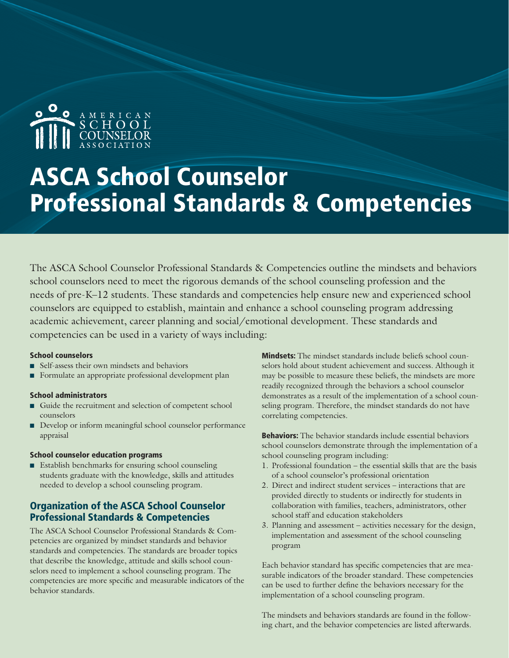

# ASCA School Counselor Professional Standards & Competencies

The ASCA School Counselor Professional Standards & Competencies outline the mindsets and behaviors school counselors need to meet the rigorous demands of the school counseling profession and the needs of pre-K–12 students. These standards and competencies help ensure new and experienced school counselors are equipped to establish, maintain and enhance a school counseling program addressing academic achievement, career planning and social/emotional development. These standards and competencies can be used in a variety of ways including:

#### School counselors

- n Self-assess their own mindsets and behaviors
- Formulate an appropriate professional development plan

#### School administrators

- n Guide the recruitment and selection of competent school counselors
- Develop or inform meaningful school counselor performance appraisal

#### School counselor education programs

 $\blacksquare$  Establish benchmarks for ensuring school counseling students graduate with the knowledge, skills and attitudes needed to develop a school counseling program.

#### Organization of the ASCA School Counselor Professional Standards & Competencies

The ASCA School Counselor Professional Standards & Competencies are organized by mindset standards and behavior standards and competencies. The standards are broader topics that describe the knowledge, attitude and skills school counselors need to implement a school counseling program. The competencies are more specific and measurable indicators of the behavior standards.

Mindsets: The mindset standards include beliefs school counselors hold about student achievement and success. Although it may be possible to measure these beliefs, the mindsets are more readily recognized through the behaviors a school counselor demonstrates as a result of the implementation of a school counseling program. Therefore, the mindset standards do not have correlating competencies.

**Behaviors:** The behavior standards include essential behaviors school counselors demonstrate through the implementation of a school counseling program including:

- 1. Professional foundation the essential skills that are the basis of a school counselor's professional orientation
- 2. Direct and indirect student services interactions that are provided directly to students or indirectly for students in collaboration with families, teachers, administrators, other school staff and education stakeholders
- 3. Planning and assessment activities necessary for the design, implementation and assessment of the school counseling program

Each behavior standard has specific competencies that are measurable indicators of the broader standard. These competencies can be used to further define the behaviors necessary for the implementation of a school counseling program.

The mindsets and behaviors standards are found in the following chart, and the behavior competencies are listed afterwards.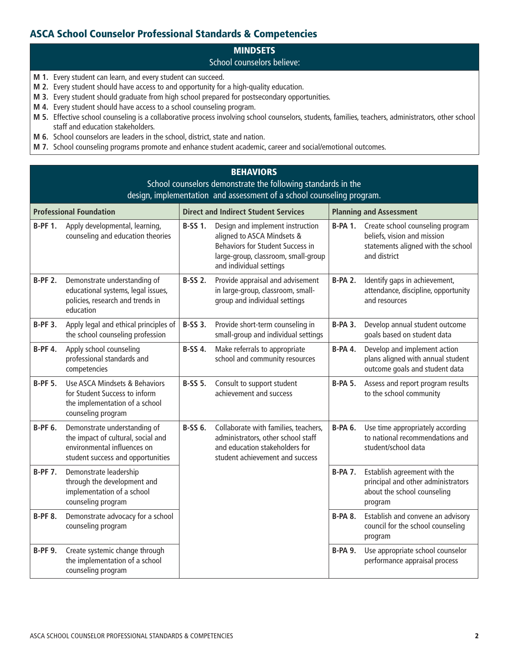## ASCA School Counselor Professional Standards & Competencies

# **MINDSETS**

#### School counselors believe:

- **M 1.** Every student can learn, and every student can succeed.
- **M 2.** Every student should have access to and opportunity for a high-quality education.
- **M 3.** Every student should graduate from high school prepared for postsecondary opportunities.
- **M 4.** Every student should have access to a school counseling program.
- **M 5.** Effective school counseling is a collaborative process involving school counselors, students, families, teachers, administrators, other school staff and education stakeholders.
- **M 6.** School counselors are leaders in the school, district, state and nation.
- **M 7.** School counseling programs promote and enhance student academic, career and social/emotional outcomes.

## **BEHAVIORS**

| School counselors demonstrate the following standards in the<br>design, implementation and assessment of a school counseling program. |                                                                                                                                        |                                             |                                                                                                                                                                      |                                |                                                                                                                       |
|---------------------------------------------------------------------------------------------------------------------------------------|----------------------------------------------------------------------------------------------------------------------------------------|---------------------------------------------|----------------------------------------------------------------------------------------------------------------------------------------------------------------------|--------------------------------|-----------------------------------------------------------------------------------------------------------------------|
| <b>Professional Foundation</b>                                                                                                        |                                                                                                                                        | <b>Direct and Indirect Student Services</b> |                                                                                                                                                                      | <b>Planning and Assessment</b> |                                                                                                                       |
| <b>B-PF 1.</b>                                                                                                                        | Apply developmental, learning,<br>counseling and education theories                                                                    | <b>B-SS 1.</b>                              | Design and implement instruction<br>aligned to ASCA Mindsets &<br>Behaviors for Student Success in<br>large-group, classroom, small-group<br>and individual settings | <b>B-PA 1.</b>                 | Create school counseling program<br>beliefs, vision and mission<br>statements aligned with the school<br>and district |
| <b>B-PF 2.</b>                                                                                                                        | Demonstrate understanding of<br>educational systems, legal issues,<br>policies, research and trends in<br>education                    | <b>B-SS 2.</b>                              | Provide appraisal and advisement<br>in large-group, classroom, small-<br>group and individual settings                                                               | <b>B-PA 2.</b>                 | Identify gaps in achievement,<br>attendance, discipline, opportunity<br>and resources                                 |
| <b>B-PF 3.</b>                                                                                                                        | Apply legal and ethical principles of<br>the school counseling profession                                                              | <b>B-SS 3.</b>                              | Provide short-term counseling in<br>small-group and individual settings                                                                                              | <b>B-PA 3.</b>                 | Develop annual student outcome<br>goals based on student data                                                         |
| <b>B-PF 4.</b>                                                                                                                        | Apply school counseling<br>professional standards and<br>competencies                                                                  | <b>B-SS 4.</b>                              | Make referrals to appropriate<br>school and community resources                                                                                                      | <b>B-PA 4.</b>                 | Develop and implement action<br>plans aligned with annual student<br>outcome goals and student data                   |
| <b>B-PF 5.</b>                                                                                                                        | <b>Use ASCA Mindsets &amp; Behaviors</b><br>for Student Success to inform<br>the implementation of a school<br>counseling program      | <b>B-SS 5.</b>                              | Consult to support student<br>achievement and success                                                                                                                | <b>B-PA 5.</b>                 | Assess and report program results<br>to the school community                                                          |
| <b>B-PF 6.</b>                                                                                                                        | Demonstrate understanding of<br>the impact of cultural, social and<br>environmental influences on<br>student success and opportunities | B-SS 6.                                     | Collaborate with families, teachers,<br>administrators, other school staff<br>and education stakeholders for<br>student achievement and success                      | <b>B-PA 6.</b>                 | Use time appropriately according<br>to national recommendations and<br>student/school data                            |
| <b>B-PF 7.</b>                                                                                                                        | Demonstrate leadership<br>through the development and<br>implementation of a school<br>counseling program                              |                                             |                                                                                                                                                                      | <b>B-PA 7.</b>                 | Establish agreement with the<br>principal and other administrators<br>about the school counseling<br>program          |
| <b>B-PF 8.</b>                                                                                                                        | Demonstrate advocacy for a school<br>counseling program                                                                                |                                             |                                                                                                                                                                      | <b>B-PA 8.</b>                 | Establish and convene an advisory<br>council for the school counseling<br>program                                     |
| <b>B-PF 9.</b>                                                                                                                        | Create systemic change through<br>the implementation of a school<br>counseling program                                                 |                                             |                                                                                                                                                                      | <b>B-PA 9.</b>                 | Use appropriate school counselor<br>performance appraisal process                                                     |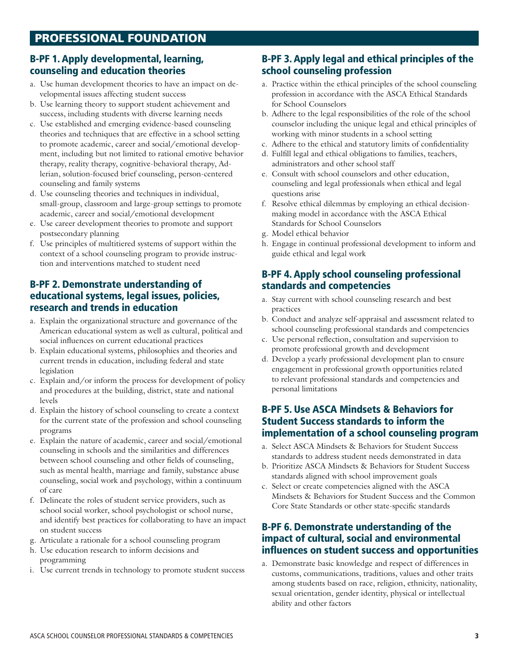#### B-PF 1. Apply developmental, learning, counseling and education theories

- a. Use human development theories to have an impact on developmental issues affecting student success
- b. Use learning theory to support student achievement and success, including students with diverse learning needs
- c. Use established and emerging evidence-based counseling theories and techniques that are effective in a school setting to promote academic, career and social/emotional development, including but not limited to rational emotive behavior therapy, reality therapy, cognitive-behavioral therapy, Adlerian, solution-focused brief counseling, person-centered counseling and family systems
- d. Use counseling theories and techniques in individual, small-group, classroom and large-group settings to promote academic, career and social/emotional development
- e. Use career development theories to promote and support postsecondary planning
- f. Use principles of multitiered systems of support within the context of a school counseling program to provide instruction and interventions matched to student need

#### B-PF 2. Demonstrate understanding of educational systems, legal issues, policies, research and trends in education

- a. Explain the organizational structure and governance of the American educational system as well as cultural, political and social influences on current educational practices
- b. Explain educational systems, philosophies and theories and current trends in education, including federal and state legislation
- c. Explain and/or inform the process for development of policy and procedures at the building, district, state and national levels
- d. Explain the history of school counseling to create a context for the current state of the profession and school counseling programs
- e. Explain the nature of academic, career and social/emotional counseling in schools and the similarities and differences between school counseling and other fields of counseling, such as mental health, marriage and family, substance abuse counseling, social work and psychology, within a continuum of care
- f. Delineate the roles of student service providers, such as school social worker, school psychologist or school nurse, and identify best practices for collaborating to have an impact on student success
- g. Articulate a rationale for a school counseling program
- h. Use education research to inform decisions and programming
- i. Use current trends in technology to promote student success

#### B-PF 3. Apply legal and ethical principles of the school counseling profession

- a. Practice within the ethical principles of the school counseling profession in accordance with the ASCA Ethical Standards for School Counselors
- b. Adhere to the legal responsibilities of the role of the school counselor including the unique legal and ethical principles of working with minor students in a school setting
- c. Adhere to the ethical and statutory limits of confidentiality
- d. Fulfill legal and ethical obligations to families, teachers, administrators and other school staff
- e. Consult with school counselors and other education, counseling and legal professionals when ethical and legal questions arise
- f. Resolve ethical dilemmas by employing an ethical decisionmaking model in accordance with the ASCA Ethical Standards for School Counselors
- g. Model ethical behavior
- h. Engage in continual professional development to inform and guide ethical and legal work

#### B-PF 4. Apply school counseling professional standards and competencies

- a. Stay current with school counseling research and best practices
- b. Conduct and analyze self-appraisal and assessment related to school counseling professional standards and competencies
- c. Use personal reflection, consultation and supervision to promote professional growth and development
- d. Develop a yearly professional development plan to ensure engagement in professional growth opportunities related to relevant professional standards and competencies and personal limitations

#### B-PF 5. Use ASCA Mindsets & Behaviors for Student Success standards to inform the implementation of a school counseling program

- a. Select ASCA Mindsets & Behaviors for Student Success standards to address student needs demonstrated in data
- b. Prioritize ASCA Mindsets & Behaviors for Student Success standards aligned with school improvement goals
- c. Select or create competencies aligned with the ASCA Mindsets & Behaviors for Student Success and the Common Core State Standards or other state-specific standards

#### B-PF 6. Demonstrate understanding of the impact of cultural, social and environmental influences on student success and opportunities

a. Demonstrate basic knowledge and respect of differences in customs, communications, traditions, values and other traits among students based on race, religion, ethnicity, nationality, sexual orientation, gender identity, physical or intellectual ability and other factors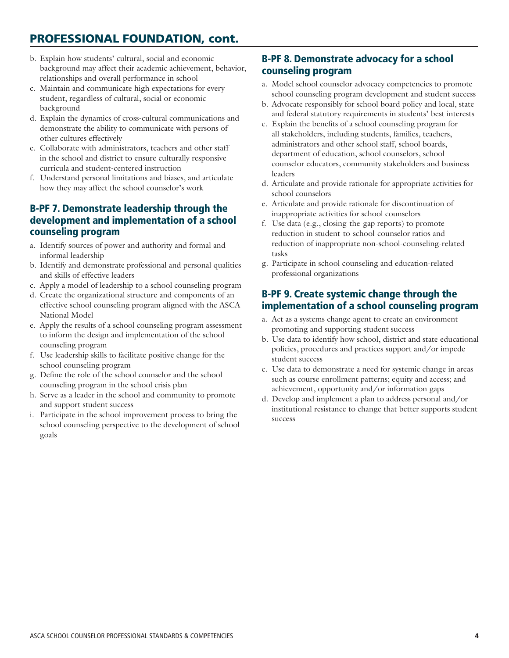# PROFESSIONAL FOUNDATION, cont.

- b. Explain how students' cultural, social and economic background may affect their academic achievement, behavior, relationships and overall performance in school
- c. Maintain and communicate high expectations for every student, regardless of cultural, social or economic background
- d. Explain the dynamics of cross-cultural communications and demonstrate the ability to communicate with persons of other cultures effectively
- e. Collaborate with administrators, teachers and other staff in the school and district to ensure culturally responsive curricula and student-centered instruction
- f. Understand personal limitations and biases, and articulate how they may affect the school counselor's work

#### B-PF 7. Demonstrate leadership through the development and implementation of a school counseling program

- a. Identify sources of power and authority and formal and informal leadership
- b. Identify and demonstrate professional and personal qualities and skills of effective leaders
- c. Apply a model of leadership to a school counseling program
- d. Create the organizational structure and components of an effective school counseling program aligned with the ASCA National Model
- e. Apply the results of a school counseling program assessment to inform the design and implementation of the school counseling program
- f. Use leadership skills to facilitate positive change for the school counseling program
- g. Define the role of the school counselor and the school counseling program in the school crisis plan
- h. Serve as a leader in the school and community to promote and support student success
- i. Participate in the school improvement process to bring the school counseling perspective to the development of school goals

## B-PF 8. Demonstrate advocacy for a school counseling program

- a. Model school counselor advocacy competencies to promote school counseling program development and student success
- b. Advocate responsibly for school board policy and local, state and federal statutory requirements in students' best interests
- c. Explain the benefits of a school counseling program for all stakeholders, including students, families, teachers, administrators and other school staff, school boards, department of education, school counselors, school counselor educators, community stakeholders and business leaders
- d. Articulate and provide rationale for appropriate activities for school counselors
- e. Articulate and provide rationale for discontinuation of inappropriate activities for school counselors
- f. Use data (e.g., closing-the-gap reports) to promote reduction in student-to-school-counselor ratios and reduction of inappropriate non-school-counseling-related tasks
- g. Participate in school counseling and education-related professional organizations

#### B-PF 9. Create systemic change through the implementation of a school counseling program

- a. Act as a systems change agent to create an environment promoting and supporting student success
- b. Use data to identify how school, district and state educational policies, procedures and practices support and/or impede student success
- c. Use data to demonstrate a need for systemic change in areas such as course enrollment patterns; equity and access; and achievement, opportunity and/or information gaps
- d. Develop and implement a plan to address personal and/or institutional resistance to change that better supports student success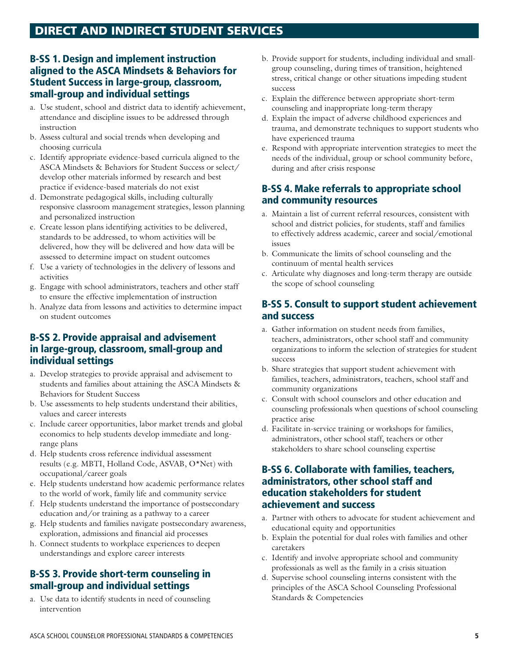# DIRECT AND INDIRECT STUDENT SERVICES

#### B-SS 1. Design and implement instruction aligned to the ASCA Mindsets & Behaviors for Student Success in large-group, classroom, small-group and individual settings

- a. Use student, school and district data to identify achievement, attendance and discipline issues to be addressed through instruction
- b. Assess cultural and social trends when developing and choosing curricula
- c. Identify appropriate evidence-based curricula aligned to the ASCA Mindsets & Behaviors for Student Success or select/ develop other materials informed by research and best practice if evidence-based materials do not exist
- d. Demonstrate pedagogical skills, including culturally responsive classroom management strategies, lesson planning and personalized instruction
- e. Create lesson plans identifying activities to be delivered, standards to be addressed, to whom activities will be delivered, how they will be delivered and how data will be assessed to determine impact on student outcomes
- f. Use a variety of technologies in the delivery of lessons and activities
- g. Engage with school administrators, teachers and other staff to ensure the effective implementation of instruction
- h. Analyze data from lessons and activities to determine impact on student outcomes

#### B-SS 2. Provide appraisal and advisement in large-group, classroom, small-group and individual settings

- a. Develop strategies to provide appraisal and advisement to students and families about attaining the ASCA Mindsets & Behaviors for Student Success
- b. Use assessments to help students understand their abilities, values and career interests
- c. Include career opportunities, labor market trends and global economics to help students develop immediate and longrange plans
- d. Help students cross reference individual assessment results (e.g. MBTI, Holland Code, ASVAB, O\*Net) with occupational/career goals
- e. Help students understand how academic performance relates to the world of work, family life and community service
- f. Help students understand the importance of postsecondary education and/or training as a pathway to a career
- g. Help students and families navigate postsecondary awareness, exploration, admissions and financial aid processes
- h. Connect students to workplace experiences to deepen understandings and explore career interests

#### B-SS 3. Provide short-term counseling in small-group and individual settings

a. Use data to identify students in need of counseling intervention

- b. Provide support for students, including individual and smallgroup counseling, during times of transition, heightened stress, critical change or other situations impeding student success
- c. Explain the difference between appropriate short-term counseling and inappropriate long-term therapy
- d. Explain the impact of adverse childhood experiences and trauma, and demonstrate techniques to support students who have experienced trauma
- e. Respond with appropriate intervention strategies to meet the needs of the individual, group or school community before, during and after crisis response

#### B-SS 4. Make referrals to appropriate school and community resources

- a. Maintain a list of current referral resources, consistent with school and district policies, for students, staff and families to effectively address academic, career and social/emotional issues
- b. Communicate the limits of school counseling and the continuum of mental health services
- c. Articulate why diagnoses and long-term therapy are outside the scope of school counseling

#### B-SS 5. Consult to support student achievement and success

- a. Gather information on student needs from families, teachers, administrators, other school staff and community organizations to inform the selection of strategies for student success
- b. Share strategies that support student achievement with families, teachers, administrators, teachers, school staff and community organizations
- c. Consult with school counselors and other education and counseling professionals when questions of school counseling practice arise
- d. Facilitate in-service training or workshops for families, administrators, other school staff, teachers or other stakeholders to share school counseling expertise

#### B-SS 6. Collaborate with families, teachers, administrators, other school staff and education stakeholders for student achievement and success

- a. Partner with others to advocate for student achievement and educational equity and opportunities
- b. Explain the potential for dual roles with families and other caretakers
- c. Identify and involve appropriate school and community professionals as well as the family in a crisis situation
- d. Supervise school counseling interns consistent with the principles of the ASCA School Counseling Professional Standards & Competencies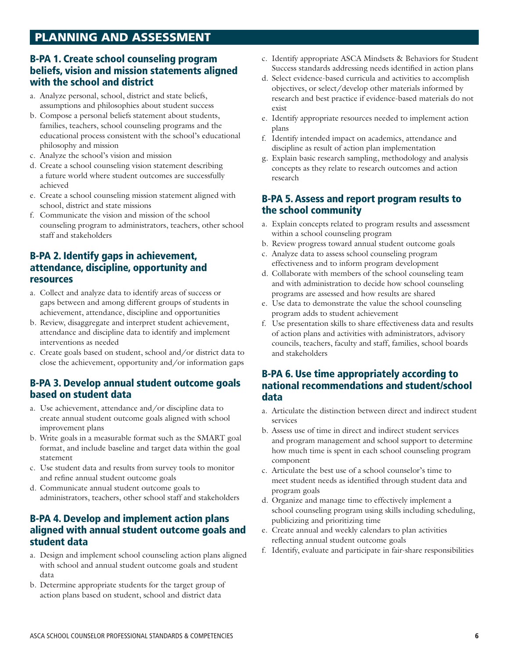# PLANNING AND ASSESSMENT

#### B-PA 1. Create school counseling program beliefs, vision and mission statements aligned with the school and district

- a. Analyze personal, school, district and state beliefs, assumptions and philosophies about student success
- b. Compose a personal beliefs statement about students, families, teachers, school counseling programs and the educational process consistent with the school's educational philosophy and mission
- c. Analyze the school's vision and mission
- d. Create a school counseling vision statement describing a future world where student outcomes are successfully achieved
- e. Create a school counseling mission statement aligned with school, district and state missions
- f. Communicate the vision and mission of the school counseling program to administrators, teachers, other school staff and stakeholders

#### B-PA 2. Identify gaps in achievement, attendance, discipline, opportunity and resources

- a. Collect and analyze data to identify areas of success or gaps between and among different groups of students in achievement, attendance, discipline and opportunities
- b. Review, disaggregate and interpret student achievement, attendance and discipline data to identify and implement interventions as needed
- c. Create goals based on student, school and/or district data to close the achievement, opportunity and/or information gaps

#### B-PA 3. Develop annual student outcome goals based on student data

- a. Use achievement, attendance and/or discipline data to create annual student outcome goals aligned with school improvement plans
- b. Write goals in a measurable format such as the SMART goal format, and include baseline and target data within the goal statement
- c. Use student data and results from survey tools to monitor and refine annual student outcome goals
- d. Communicate annual student outcome goals to administrators, teachers, other school staff and stakeholders

#### B-PA 4. Develop and implement action plans aligned with annual student outcome goals and student data

- a. Design and implement school counseling action plans aligned with school and annual student outcome goals and student data
- b. Determine appropriate students for the target group of action plans based on student, school and district data
- c. Identify appropriate ASCA Mindsets & Behaviors for Student Success standards addressing needs identified in action plans
- d. Select evidence-based curricula and activities to accomplish objectives, or select/develop other materials informed by research and best practice if evidence-based materials do not exist
- e. Identify appropriate resources needed to implement action plans
- f. Identify intended impact on academics, attendance and discipline as result of action plan implementation
- g. Explain basic research sampling, methodology and analysis concepts as they relate to research outcomes and action research

#### B-PA 5. Assess and report program results to the school community

- a. Explain concepts related to program results and assessment within a school counseling program
- b. Review progress toward annual student outcome goals
- c. Analyze data to assess school counseling program effectiveness and to inform program development
- d. Collaborate with members of the school counseling team and with administration to decide how school counseling programs are assessed and how results are shared
- e. Use data to demonstrate the value the school counseling program adds to student achievement
- f. Use presentation skills to share effectiveness data and results of action plans and activities with administrators, advisory councils, teachers, faculty and staff, families, school boards and stakeholders

#### B-PA 6. Use time appropriately according to national recommendations and student/school data

- a. Articulate the distinction between direct and indirect student services
- b. Assess use of time in direct and indirect student services and program management and school support to determine how much time is spent in each school counseling program component
- c. Articulate the best use of a school counselor's time to meet student needs as identified through student data and program goals
- d. Organize and manage time to effectively implement a school counseling program using skills including scheduling, publicizing and prioritizing time
- e. Create annual and weekly calendars to plan activities reflecting annual student outcome goals
- f. Identify, evaluate and participate in fair-share responsibilities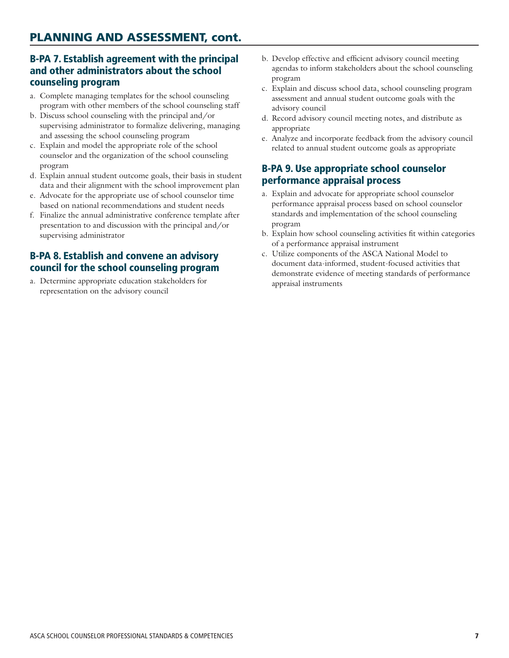#### B-PA 7. Establish agreement with the principal and other administrators about the school counseling program

- a. Complete managing templates for the school counseling program with other members of the school counseling staff
- b. Discuss school counseling with the principal and/or supervising administrator to formalize delivering, managing and assessing the school counseling program
- c. Explain and model the appropriate role of the school counselor and the organization of the school counseling program
- d. Explain annual student outcome goals, their basis in student data and their alignment with the school improvement plan
- e. Advocate for the appropriate use of school counselor time based on national recommendations and student needs
- f. Finalize the annual administrative conference template after presentation to and discussion with the principal and/or supervising administrator

#### B-PA 8. Establish and convene an advisory council for the school counseling program

a. Determine appropriate education stakeholders for representation on the advisory council

- b. Develop effective and efficient advisory council meeting agendas to inform stakeholders about the school counseling program
- c. Explain and discuss school data, school counseling program assessment and annual student outcome goals with the advisory council
- d. Record advisory council meeting notes, and distribute as appropriate
- e. Analyze and incorporate feedback from the advisory council related to annual student outcome goals as appropriate

#### B-PA 9. Use appropriate school counselor performance appraisal process

- a. Explain and advocate for appropriate school counselor performance appraisal process based on school counselor standards and implementation of the school counseling program
- b. Explain how school counseling activities fit within categories of a performance appraisal instrument
- c. Utilize components of the ASCA National Model to document data-informed, student-focused activities that demonstrate evidence of meeting standards of performance appraisal instruments